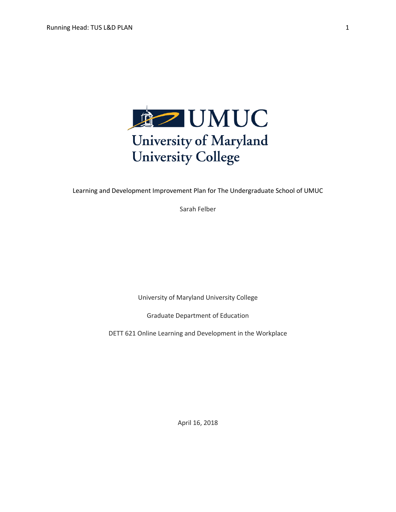

Learning and Development Improvement Plan for The Undergraduate School of UMUC

Sarah Felber

University of Maryland University College

Graduate Department of Education

DETT 621 Online Learning and Development in the Workplace

April 16, 2018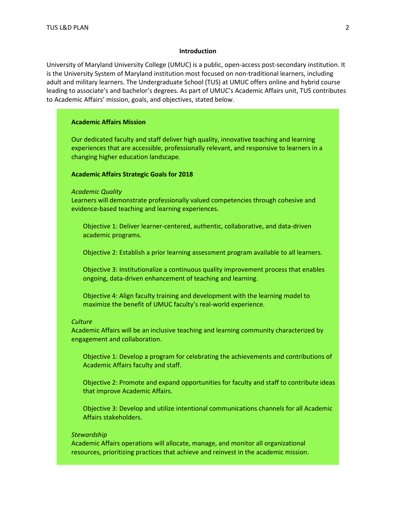#### **Introduction**

University of Maryland University College (UMUC) is a public, open-access post-secondary institution. It is the University System of Maryland institution most focused on non-traditional learners, including adult and military learners. The Undergraduate School (TUS) at UMUC offers online and hybrid course leading to associate's and bachelor's degrees. As part of UMUC's Academic Affairs unit, TUS contributes to Academic Affairs' mission, goals, and objectives, stated below.

### **Academic Affairs Mission**

Our dedicated faculty and staff deliver high quality, innovative teaching and learning experiences that are accessible, professionally relevant, and responsive to learners in a changing higher education landscape.

### **Academic Affairs Strategic Goals for 2018**

*Academic Quality*

Learners will demonstrate professionally valued competencies through cohesive and evidence-based teaching and learning experiences.

Objective 1: Deliver learner-centered, authentic, collaborative, and data-driven academic programs.

Objective 2: Establish a prior learning assessment program available to all learners.

Objective 3: Institutionalize a continuous quality improvement process that enables ongoing, data-driven enhancement of teaching and learning.

Objective 4: Align faculty training and development with the learning model to maximize the benefit of UMUC faculty's real-world experience.

## *Culture*

Academic Affairs will be an inclusive teaching and learning community characterized by engagement and collaboration.

Objective 1: Develop a program for celebrating the achievements and contributions of Academic Affairs faculty and staff.

Objective 2: Promote and expand opportunities for faculty and staff to contribute ideas that improve Academic Affairs.

Objective 3: Develop and utilize intentional communications channels for all Academic Affairs stakeholders.

#### *Stewardship*

Academic Affairs operations will allocate, manage, and monitor all organizational resources, prioritizing practices that achieve and reinvest in the academic mission.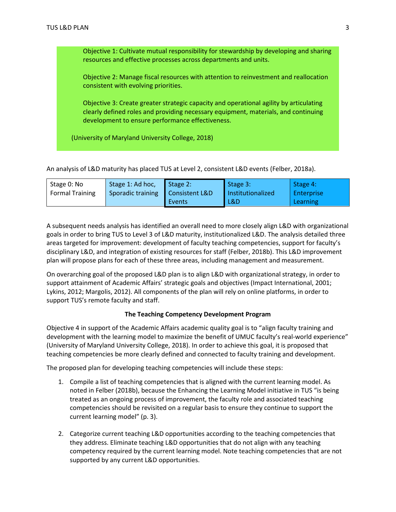Objective 1: Cultivate mutual responsibility for stewardship by developing and sharing resources and effective processes across departments and units.

Objective 2: Manage fiscal resources with attention to reinvestment and reallocation consistent with evolving priorities.

Objective 3: Create greater strategic capacity and operational agility by articulating clearly defined roles and providing necessary equipment, materials, and continuing development to ensure performance effectiveness.

(University of Maryland University College, 2018)

An analysis of L&D maturity has placed TUS at Level 2, consistent L&D events (Felber, 2018a).

| Stage 0: No            | Stage 1: Ad hoc,  | Stage $2$ :    | Stage 3:          | Stage 4:     |
|------------------------|-------------------|----------------|-------------------|--------------|
| <b>Formal Training</b> | Sporadic training | Consistent L&D | Institutionalized | l Enterprise |
|                        |                   | Events         | L&D               | Learning     |

A subsequent needs analysis has identified an overall need to more closely align L&D with organizational goals in order to bring TUS to Level 3 of L&D maturity, institutionalized L&D. The analysis detailed three areas targeted for improvement: development of faculty teaching competencies, support for faculty's disciplinary L&D, and integration of existing resources for staff (Felber, 2018b). This L&D improvement plan will propose plans for each of these three areas, including management and measurement.

On overarching goal of the proposed L&D plan is to align L&D with organizational strategy, in order to support attainment of Academic Affairs' strategic goals and objectives (Impact International, 2001; Lykins, 2012; Margolis, 2012). All components of the plan will rely on online platforms, in order to support TUS's remote faculty and staff.

## **The Teaching Competency Development Program**

Objective 4 in support of the Academic Affairs academic quality goal is to "align faculty training and development with the learning model to maximize the benefit of UMUC faculty's real-world experience" (University of Maryland University College, 2018). In order to achieve this goal, it is proposed that teaching competencies be more clearly defined and connected to faculty training and development.

The proposed plan for developing teaching competencies will include these steps:

- 1. Compile a list of teaching competencies that is aligned with the current learning model. As noted in Felber (2018b), because the Enhancing the Learning Model initiative in TUS "is being treated as an ongoing process of improvement, the faculty role and associated teaching competencies should be revisited on a regular basis to ensure they continue to support the current learning model" (p. 3).
- 2. Categorize current teaching L&D opportunities according to the teaching competencies that they address. Eliminate teaching L&D opportunities that do not align with any teaching competency required by the current learning model. Note teaching competencies that are not supported by any current L&D opportunities.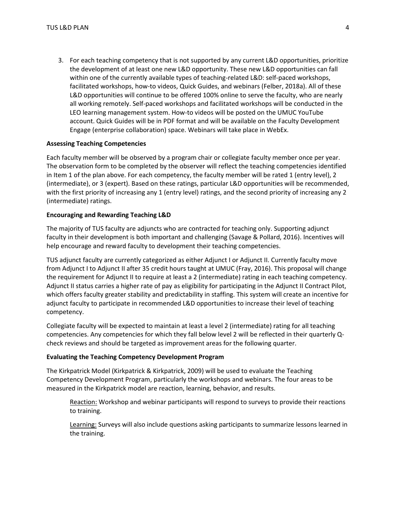3. For each teaching competency that is not supported by any current L&D opportunities, prioritize the development of at least one new L&D opportunity. These new L&D opportunities can fall within one of the currently available types of teaching-related L&D: self-paced workshops, facilitated workshops, how-to videos, Quick Guides, and webinars (Felber, 2018a). All of these L&D opportunities will continue to be offered 100% online to serve the faculty, who are nearly all working remotely. Self-paced workshops and facilitated workshops will be conducted in the LEO learning management system. How-to videos will be posted on the UMUC YouTube account. Quick Guides will be in PDF format and will be available on the Faculty Development Engage (enterprise collaboration) space. Webinars will take place in WebEx.

## **Assessing Teaching Competencies**

Each faculty member will be observed by a program chair or collegiate faculty member once per year. The observation form to be completed by the observer will reflect the teaching competencies identified in Item 1 of the plan above. For each competency, the faculty member will be rated 1 (entry level), 2 (intermediate), or 3 (expert). Based on these ratings, particular L&D opportunities will be recommended, with the first priority of increasing any 1 (entry level) ratings, and the second priority of increasing any 2 (intermediate) ratings.

### **Encouraging and Rewarding Teaching L&D**

The majority of TUS faculty are adjuncts who are contracted for teaching only. Supporting adjunct faculty in their development is both important and challenging (Savage & Pollard, 2016). Incentives will help encourage and reward faculty to development their teaching competencies.

TUS adjunct faculty are currently categorized as either Adjunct I or Adjunct II. Currently faculty move from Adjunct I to Adjunct II after 35 credit hours taught at UMUC (Fray, 2016). This proposal will change the requirement for Adjunct II to require at least a 2 (intermediate) rating in each teaching competency. Adjunct II status carries a higher rate of pay as eligibility for participating in the Adjunct II Contract Pilot, which offers faculty greater stability and predictability in staffing. This system will create an incentive for adjunct faculty to participate in recommended L&D opportunities to increase their level of teaching competency.

Collegiate faculty will be expected to maintain at least a level 2 (intermediate) rating for all teaching competencies. Any competencies for which they fall below level 2 will be reflected in their quarterly Qcheck reviews and should be targeted as improvement areas for the following quarter.

#### **Evaluating the Teaching Competency Development Program**

The Kirkpatrick Model (Kirkpatrick & Kirkpatrick, 2009) will be used to evaluate the Teaching Competency Development Program, particularly the workshops and webinars. The four areas to be measured in the Kirkpatrick model are reaction, learning, behavior, and results.

Reaction: Workshop and webinar participants will respond to surveys to provide their reactions to training.

Learning: Surveys will also include questions asking participants to summarize lessons learned in the training.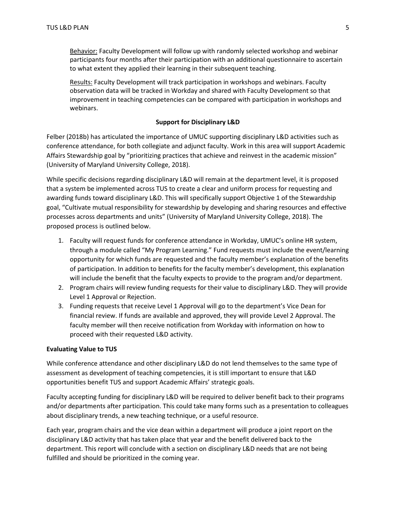Behavior: Faculty Development will follow up with randomly selected workshop and webinar participants four months after their participation with an additional questionnaire to ascertain to what extent they applied their learning in their subsequent teaching.

Results: Faculty Development will track participation in workshops and webinars. Faculty observation data will be tracked in Workday and shared with Faculty Development so that improvement in teaching competencies can be compared with participation in workshops and webinars.

## **Support for Disciplinary L&D**

Felber (2018b) has articulated the importance of UMUC supporting disciplinary L&D activities such as conference attendance, for both collegiate and adjunct faculty. Work in this area will support Academic Affairs Stewardship goal by "prioritizing practices that achieve and reinvest in the academic mission" (University of Maryland University College, 2018).

While specific decisions regarding disciplinary L&D will remain at the department level, it is proposed that a system be implemented across TUS to create a clear and uniform process for requesting and awarding funds toward disciplinary L&D. This will specifically support Objective 1 of the Stewardship goal, "Cultivate mutual responsibility for stewardship by developing and sharing resources and effective processes across departments and units" (University of Maryland University College, 2018). The proposed process is outlined below.

- 1. Faculty will request funds for conference attendance in Workday, UMUC's online HR system, through a module called "My Program Learning." Fund requests must include the event/learning opportunity for which funds are requested and the faculty member's explanation of the benefits of participation. In addition to benefits for the faculty member's development, this explanation will include the benefit that the faculty expects to provide to the program and/or department.
- 2. Program chairs will review funding requests for their value to disciplinary L&D. They will provide Level 1 Approval or Rejection.
- 3. Funding requests that receive Level 1 Approval will go to the department's Vice Dean for financial review. If funds are available and approved, they will provide Level 2 Approval. The faculty member will then receive notification from Workday with information on how to proceed with their requested L&D activity.

## **Evaluating Value to TUS**

While conference attendance and other disciplinary L&D do not lend themselves to the same type of assessment as development of teaching competencies, it is still important to ensure that L&D opportunities benefit TUS and support Academic Affairs' strategic goals.

Faculty accepting funding for disciplinary L&D will be required to deliver benefit back to their programs and/or departments after participation. This could take many forms such as a presentation to colleagues about disciplinary trends, a new teaching technique, or a useful resource.

Each year, program chairs and the vice dean within a department will produce a joint report on the disciplinary L&D activity that has taken place that year and the benefit delivered back to the department. This report will conclude with a section on disciplinary L&D needs that are not being fulfilled and should be prioritized in the coming year.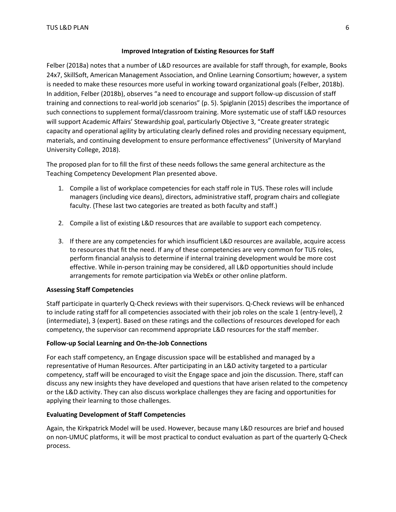# **Improved Integration of Existing Resources for Staff**

Felber (2018a) notes that a number of L&D resources are available for staff through, for example, Books 24x7, SkillSoft, American Management Association, and Online Learning Consortium; however, a system is needed to make these resources more useful in working toward organizational goals (Felber, 2018b). In addition, Felber (2018b), observes "a need to encourage and support follow-up discussion of staff training and connections to real-world job scenarios" (p. 5). Spiglanin (2015) describes the importance of such connections to supplement formal/classroom training. More systematic use of staff L&D resources will support Academic Affairs' Stewardship goal, particularly Objective 3, "Create greater strategic capacity and operational agility by articulating clearly defined roles and providing necessary equipment, materials, and continuing development to ensure performance effectiveness" (University of Maryland University College, 2018).

The proposed plan for to fill the first of these needs follows the same general architecture as the Teaching Competency Development Plan presented above.

- 1. Compile a list of workplace competencies for each staff role in TUS. These roles will include managers (including vice deans), directors, administrative staff, program chairs and collegiate faculty. (These last two categories are treated as both faculty and staff.)
- 2. Compile a list of existing L&D resources that are available to support each competency.
- 3. If there are any competencies for which insufficient L&D resources are available, acquire access to resources that fit the need. If any of these competencies are very common for TUS roles, perform financial analysis to determine if internal training development would be more cost effective. While in-person training may be considered, all L&D opportunities should include arrangements for remote participation via WebEx or other online platform.

# **Assessing Staff Competencies**

Staff participate in quarterly Q-Check reviews with their supervisors. Q-Check reviews will be enhanced to include rating staff for all competencies associated with their job roles on the scale 1 (entry-level), 2 (intermediate), 3 (expert). Based on these ratings and the collections of resources developed for each competency, the supervisor can recommend appropriate L&D resources for the staff member.

# **Follow-up Social Learning and On-the-Job Connections**

For each staff competency, an Engage discussion space will be established and managed by a representative of Human Resources. After participating in an L&D activity targeted to a particular competency, staff will be encouraged to visit the Engage space and join the discussion. There, staff can discuss any new insights they have developed and questions that have arisen related to the competency or the L&D activity. They can also discuss workplace challenges they are facing and opportunities for applying their learning to those challenges.

# **Evaluating Development of Staff Competencies**

Again, the Kirkpatrick Model will be used. However, because many L&D resources are brief and housed on non-UMUC platforms, it will be most practical to conduct evaluation as part of the quarterly Q-Check process.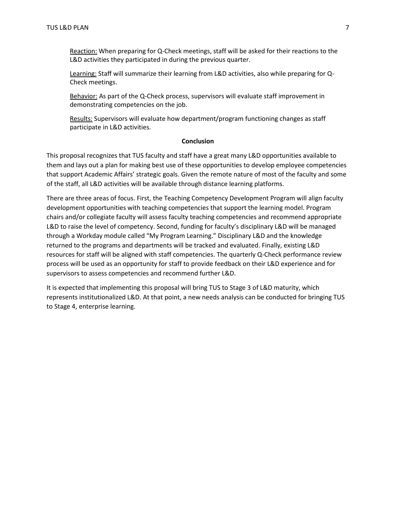Reaction: When preparing for Q-Check meetings, staff will be asked for their reactions to the L&D activities they participated in during the previous quarter.

Learning: Staff will summarize their learning from L&D activities, also while preparing for Q-Check meetings.

Behavior: As part of the Q-Check process, supervisors will evaluate staff improvement in demonstrating competencies on the job.

Results: Supervisors will evaluate how department/program functioning changes as staff participate in L&D activities.

#### **Conclusion**

This proposal recognizes that TUS faculty and staff have a great many L&D opportunities available to them and lays out a plan for making best use of these opportunities to develop employee competencies that support Academic Affairs' strategic goals. Given the remote nature of most of the faculty and some of the staff, all L&D activities will be available through distance learning platforms.

There are three areas of focus. First, the Teaching Competency Development Program will align faculty development opportunities with teaching competencies that support the learning model. Program chairs and/or collegiate faculty will assess faculty teaching competencies and recommend appropriate L&D to raise the level of competency. Second, funding for faculty's disciplinary L&D will be managed through a Workday module called "My Program Learning." Disciplinary L&D and the knowledge returned to the programs and departments will be tracked and evaluated. Finally, existing L&D resources for staff will be aligned with staff competencies. The quarterly Q-Check performance review process will be used as an opportunity for staff to provide feedback on their L&D experience and for supervisors to assess competencies and recommend further L&D.

It is expected that implementing this proposal will bring TUS to Stage 3 of L&D maturity, which represents institutionalized L&D. At that point, a new needs analysis can be conducted for bringing TUS to Stage 4, enterprise learning.